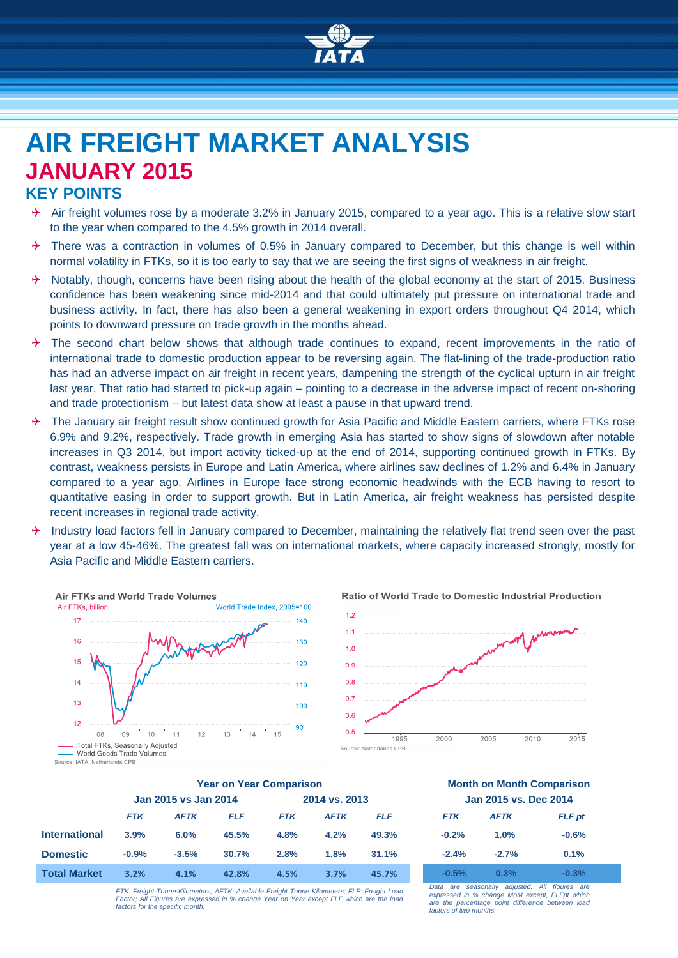

# **AIR FREIGHT MARKET ANALYSIS JANUARY 2015 KEY POINTS**

- $\rightarrow$  Air freight volumes rose by a moderate 3.2% in January 2015, compared to a year ago. This is a relative slow start to the year when compared to the 4.5% growth in 2014 overall.
- $\rightarrow$  There was a contraction in volumes of 0.5% in January compared to December, but this change is well within normal volatility in FTKs, so it is too early to say that we are seeing the first signs of weakness in air freight.
- $\rightarrow$  Notably, though, concerns have been rising about the health of the global economy at the start of 2015. Business confidence has been weakening since mid-2014 and that could ultimately put pressure on international trade and business activity. In fact, there has also been a general weakening in export orders throughout Q4 2014, which points to downward pressure on trade growth in the months ahead.
- $\rightarrow$  The second chart below shows that although trade continues to expand, recent improvements in the ratio of international trade to domestic production appear to be reversing again. The flat-lining of the trade-production ratio has had an adverse impact on air freight in recent years, dampening the strength of the cyclical upturn in air freight last year. That ratio had started to pick-up again – pointing to a decrease in the adverse impact of recent on-shoring and trade protectionism – but latest data show at least a pause in that upward trend.
- $\rightarrow$  The January air freight result show continued growth for Asia Pacific and Middle Eastern carriers, where FTKs rose 6.9% and 9.2%, respectively. Trade growth in emerging Asia has started to show signs of slowdown after notable increases in Q3 2014, but import activity ticked-up at the end of 2014, supporting continued growth in FTKs. By contrast, weakness persists in Europe and Latin America, where airlines saw declines of 1.2% and 6.4% in January compared to a year ago. Airlines in Europe face strong economic headwinds with the ECB having to resort to quantitative easing in order to support growth. But in Latin America, air freight weakness has persisted despite recent increases in regional trade activity.
- $\rightarrow$  Industry load factors fell in January compared to December, maintaining the relatively flat trend seen over the past year at a low 45-46%. The greatest fall was on international markets, where capacity increased strongly, mostly for Asia Pacific and Middle Eastern carriers.







|                      | <b>Year on Year Comparison</b> |             |            |               |             | <b>Month on Month Comparison</b> |                       |             |               |
|----------------------|--------------------------------|-------------|------------|---------------|-------------|----------------------------------|-----------------------|-------------|---------------|
|                      | Jan 2015 vs Jan 2014           |             |            | 2014 vs. 2013 |             |                                  | Jan 2015 vs. Dec 2014 |             |               |
|                      | <b>FTK</b>                     | <b>AFTK</b> | <b>FLF</b> | <b>FTK</b>    | <b>AFTK</b> | <b>FLF</b>                       | <b>FTK</b>            | <b>AFTK</b> | <b>FLF</b> pt |
| <b>International</b> | 3.9%                           | 6.0%        | 45.5%      | 4.8%          | 4.2%        | 49.3%                            | $-0.2%$               | 1.0%        | $-0.6%$       |
| <b>Domestic</b>      | $-0.9%$                        | $-3.5%$     | 30.7%      | 2.8%          | 1.8%        | 31.1%                            | $-2.4%$               | $-2.7%$     | 0.1%          |
| <b>Total Market</b>  | 3.2%                           | 4.1%        | 42.8%      | 4.5%          | 3.7%        | 45.7%                            | $-0.5%$               | 0.3%        | $-0.3%$       |

| <b>Month on Month Comparison</b> |
|----------------------------------|
| Jan 2015 vs. Dec 2014            |

| <b>FIK</b> | <b>AFIK</b> | FLF pt  |
|------------|-------------|---------|
| $-0.2%$    | 1.0%        | $-0.6%$ |
| $-2.4%$    | $-2.7%$     | 0.1%    |
| $-0.5%$    | 0.3%        | $-0.3%$ |

*FTK: Freight-Tonne-Kilometers; AFTK: Available Freight Tonne Kilometers; FLF: Freight Load Factor; All Figures are expressed in % change Year on Year except FLF which are the load factors for the specific month.*

*Data are seasonally adjusted. All figures expressed in % change MoM except, FLFpt which are the percentage point difference between load factors of two months.*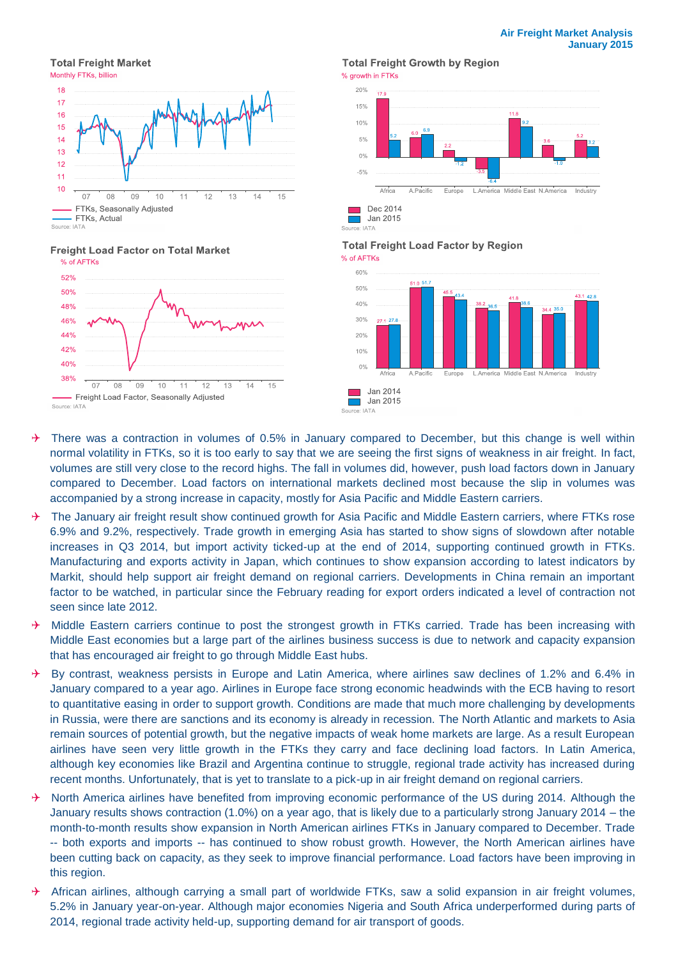**Total Freight Market** 



#### **Freight Load Factor on Total Market**



### **Total Freight Growth by Region**



**Total Freight Load Factor by Region** % of AFTKs



 $\rightarrow$  There was a contraction in volumes of 0.5% in January compared to December, but this change is well within normal volatility in FTKs, so it is too early to say that we are seeing the first signs of weakness in air freight. In fact, volumes are still very close to the record highs. The fall in volumes did, however, push load factors down in January compared to December. Load factors on international markets declined most because the slip in volumes was accompanied by a strong increase in capacity, mostly for Asia Pacific and Middle Eastern carriers.

Source: IATA

- $\rightarrow$  The January air freight result show continued growth for Asia Pacific and Middle Eastern carriers, where FTKs rose 6.9% and 9.2%, respectively. Trade growth in emerging Asia has started to show signs of slowdown after notable increases in Q3 2014, but import activity ticked-up at the end of 2014, supporting continued growth in FTKs. Manufacturing and exports activity in Japan, which continues to show expansion according to latest indicators by Markit, should help support air freight demand on regional carriers. Developments in China remain an important factor to be watched, in particular since the February reading for export orders indicated a level of contraction not seen since late 2012.
- $\rightarrow$  Middle Eastern carriers continue to post the strongest growth in FTKs carried. Trade has been increasing with Middle East economies but a large part of the airlines business success is due to network and capacity expansion that has encouraged air freight to go through Middle East hubs.
- $\rightarrow$  By contrast, weakness persists in Europe and Latin America, where airlines saw declines of 1.2% and 6.4% in January compared to a year ago. Airlines in Europe face strong economic headwinds with the ECB having to resort to quantitative easing in order to support growth. Conditions are made that much more challenging by developments in Russia, were there are sanctions and its economy is already in recession. The North Atlantic and markets to Asia remain sources of potential growth, but the negative impacts of weak home markets are large. As a result European airlines have seen very little growth in the FTKs they carry and face declining load factors. In Latin America, although key economies like Brazil and Argentina continue to struggle, regional trade activity has increased during recent months. Unfortunately, that is yet to translate to a pick-up in air freight demand on regional carriers.
- $\rightarrow$  North America airlines have benefited from improving economic performance of the US during 2014. Although the January results shows contraction (1.0%) on a year ago, that is likely due to a particularly strong January 2014 – the month-to-month results show expansion in North American airlines FTKs in January compared to December. Trade -- both exports and imports -- has continued to show robust growth. However, the North American airlines have been cutting back on capacity, as they seek to improve financial performance. Load factors have been improving in this region.
- African airlines, although carrying a small part of worldwide FTKs, saw a solid expansion in air freight volumes, 5.2% in January year-on-year. Although major economies Nigeria and South Africa underperformed during parts of 2014, regional trade activity held-up, supporting demand for air transport of goods.